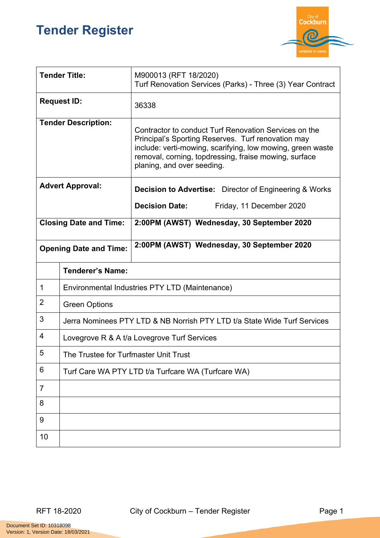## **Tender Register**



| <b>Tender Title:</b>          |                                                                          | M900013 (RFT 18/2020)<br>Turf Renovation Services (Parks) - Three (3) Year Contract                                                                                                                                                                              |  |
|-------------------------------|--------------------------------------------------------------------------|------------------------------------------------------------------------------------------------------------------------------------------------------------------------------------------------------------------------------------------------------------------|--|
| <b>Request ID:</b>            |                                                                          | 36338                                                                                                                                                                                                                                                            |  |
| <b>Tender Description:</b>    |                                                                          | Contractor to conduct Turf Renovation Services on the<br>Principal's Sporting Reserves. Turf renovation may<br>include: verti-mowing, scarifying, low mowing, green waste<br>removal, corning, topdressing, fraise mowing, surface<br>planing, and over seeding. |  |
| <b>Advert Approval:</b>       |                                                                          | <b>Decision to Advertise:</b> Director of Engineering & Works                                                                                                                                                                                                    |  |
|                               |                                                                          | <b>Decision Date:</b><br>Friday, 11 December 2020                                                                                                                                                                                                                |  |
| <b>Closing Date and Time:</b> |                                                                          | 2:00PM (AWST) Wednesday, 30 September 2020                                                                                                                                                                                                                       |  |
| <b>Opening Date and Time:</b> |                                                                          | 2:00PM (AWST) Wednesday, 30 September 2020                                                                                                                                                                                                                       |  |
|                               | <b>Tenderer's Name:</b>                                                  |                                                                                                                                                                                                                                                                  |  |
| 1                             | Environmental Industries PTY LTD (Maintenance)                           |                                                                                                                                                                                                                                                                  |  |
| $\overline{2}$                | <b>Green Options</b>                                                     |                                                                                                                                                                                                                                                                  |  |
| 3                             | Jerra Nominees PTY LTD & NB Norrish PTY LTD t/a State Wide Turf Services |                                                                                                                                                                                                                                                                  |  |
| 4                             | Lovegrove R & A t/a Lovegrove Turf Services                              |                                                                                                                                                                                                                                                                  |  |
| 5                             | The Trustee for Turfmaster Unit Trust                                    |                                                                                                                                                                                                                                                                  |  |
| 6                             | Turf Care WA PTY LTD t/a Turfcare WA (Turfcare WA)                       |                                                                                                                                                                                                                                                                  |  |
| 7                             |                                                                          |                                                                                                                                                                                                                                                                  |  |
| 8                             |                                                                          |                                                                                                                                                                                                                                                                  |  |
| 9                             |                                                                          |                                                                                                                                                                                                                                                                  |  |
| 10                            |                                                                          |                                                                                                                                                                                                                                                                  |  |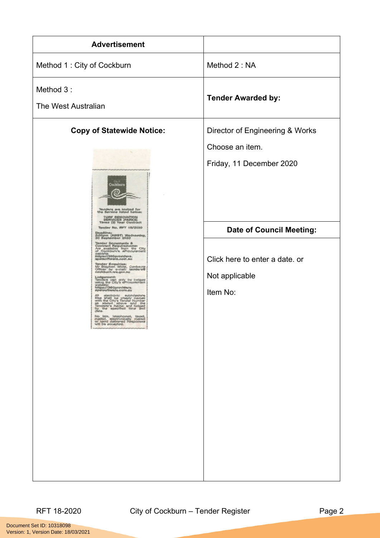| <b>Advertisement</b>                                                                                                                                                                                                                                                                                                                                                                                                                                                                                                                                                                                                                                                                                                                                                                                                                                                                                         |                                                                                                 |
|--------------------------------------------------------------------------------------------------------------------------------------------------------------------------------------------------------------------------------------------------------------------------------------------------------------------------------------------------------------------------------------------------------------------------------------------------------------------------------------------------------------------------------------------------------------------------------------------------------------------------------------------------------------------------------------------------------------------------------------------------------------------------------------------------------------------------------------------------------------------------------------------------------------|-------------------------------------------------------------------------------------------------|
| Method 1: City of Cockburn                                                                                                                                                                                                                                                                                                                                                                                                                                                                                                                                                                                                                                                                                                                                                                                                                                                                                   | Method 2: NA                                                                                    |
| Method 3:<br>The West Australian                                                                                                                                                                                                                                                                                                                                                                                                                                                                                                                                                                                                                                                                                                                                                                                                                                                                             | <b>Tender Awarded by:</b>                                                                       |
| <b>Copy of Statewide Notice:</b><br>.<br>Cockburn<br>Tenders are invited for<br>the Service listed below:                                                                                                                                                                                                                                                                                                                                                                                                                                                                                                                                                                                                                                                                                                                                                                                                    | Director of Engineering & Works<br>Choose an item.<br>Friday, 11 December 2020                  |
| TURF RENOVATION<br>SERVICES (PARKS)<br>Three (3) Year Contract<br>Tender No. RFT 18/2020<br>Deadline:<br>2:00pm (AWST) Wednesday,<br>30 September 2020<br>Tender Documents &<br>Contract Requirements:<br>Are available from the City<br>of Cockburn's aProcurement<br>https://360providers.<br>apetsoftware.com.au<br><b>Tender Enquiries:</b><br>Mr Stephen White, Contracts<br>Officer by e-mail: tenders@<br>oockburn.wa.gov.au<br>Lodgement:<br>Tenders can only be lodged<br>using the City's eProcurement<br>mttps://360providers.<br>https://360providers.<br>apetsoftware.com.au<br>All electronic submissions<br>files shall be clearly named<br>with the City's Tender Number<br>as stated above and the<br>Tenderer's Name; and lodged<br>by the specified time and<br>date.<br>No late, telephoned, faxed,<br>malled, electronically malled<br>or hand delivered Responses<br>will be accepted. | <b>Date of Council Meeting:</b><br>Click here to enter a date. or<br>Not applicable<br>Item No: |